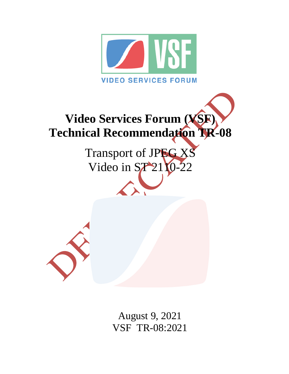

# **Video Services Forum (VSF) Technical Recommendation TR-08**

Transport of JPEG XS Video in ST 2110-22

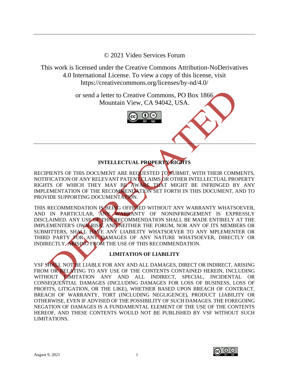© 2021 Video Services Forum

This work is licensed under the Creative Commons Attribution-NoDerivatives 4.0 International License. To view a copy of this license, visit https://creativecommons.org/licenses/by-nd/4.0/

> or send a letter to Creative Commons, PO Box 1866 Mountain View, CA 94042, USA.



# **INTELLECTUAL PROPERTY RIGHTS**

RECIPIENTS OF THIS DOCUMENT ARE REQUESTED TO SUBMIT, WITH THEIR COMMENTS, NOTIFICATION OF ANY RELEVANT PATENT CLAIMS OR OTHER INTELLECTUAL PROPERTY RIGHTS OF WHICH THEY MAY BE AWARE THAT MIGHT BE INFRINGED BY ANY IMPLEMENTATION OF THE RECOMMENDATION SET FORTH IN THIS DOCUMENT, AND TO PROVIDE SUPPORTING DOCUMENTATION.

THIS RECOMMENDATION IS BEING OFFERED WITHOUT ANY WARRANTY WHATSOEVER, AND IN PARTICULAR, ANY WARRANTY OF NONINFRINGEMENT IS EXPRESSLY DISCLAIMED. ANY USE OF THIS RECOMMENDATION SHALL BE MADE ENTIRELY AT THE IMPLEMENTER'S OWN RISK, AND NEITHER THE FORUM, NOR ANY OF ITS MEMBERS OR SUBMITTERS, SHALL HAVE ANY LIABILITY WHATSOEVER TO ANY MPLEMENTER OR THIRD PARTY FOR ANY DAMAGES OF ANY NATURE WHATSOEVER, DIRECTLY OR INDIRECTLY, ARISING FROM THE USE OF THIS RECOMMENDATION.

# **LIMITATION OF LIABILITY**

VSF SHALL NOT BE LIABLE FOR ANY AND ALL DAMAGES, DIRECT OR INDIRECT, ARISING FROM OR RELATING TO ANY USE OF THE CONTENTS CONTAINED HEREIN, INCLUDING WITHOUT LIMITATION ANY AND ALL INDIRECT, SPECIAL, INCIDENTAL OR CONSEQUENTIAL DAMAGES (INCLUDING DAMAGES FOR LOSS OF BUSINESS, LOSS OF PROFITS, LITIGATION, OR THE LIKE), WHETHER BASED UPON BREACH OF CONTRACT, BREACH OF WARRANTY, TORT (INCLUDING NEGLIGENCE), PRODUCT LIABILITY OR OTHERWISE, EVEN IF ADVISED OF THE POSSIBILITY OF SUCH DAMAGES. THE FOREGOING NEGATION OF DAMAGES IS A FUNDAMENTAL ELEMENT OF THE USE OF THE CONTENTS HEREOF, AND THESE CONTENTS WOULD NOT BE PUBLISHED BY VSF WITHOUT SUCH LIMITATIONS.

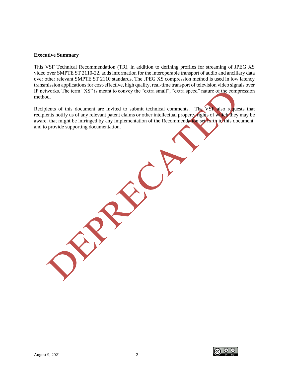#### **Executive Summary**

This VSF Technical Recommendation (TR), in addition to defining profiles for streaming of JPEG XS video over SMPTE ST 2110-22, adds information for the interoperable transport of audio and ancillary data over other relevant SMPTE ST 2110 standards. The JPEG XS compression method is used in low latency transmission applications for cost-effective, high quality, real-time transport of television video signals over IP networks. The term "XS" is meant to convey the "extra small", "extra speed" nature of the compression method.

Recipients of this document are invited to submit technical comments. The VSF also requests that recipients notify us of any relevant patent claims or other intellectual property rights of which they may be aware, that might be infringed by any implementation of the Recommendation set forth in this document, and to provide supporting documentation.

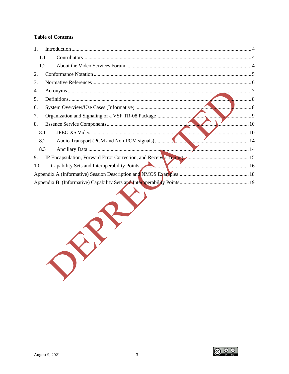## **Table of Contents**

| 1.1 |                    |
|-----|--------------------|
| 1.2 |                    |
| 2.  |                    |
| 3.  |                    |
| 4.  |                    |
| 5.  | <b>MANUEL 1999</b> |
| 6.  |                    |
| 7.  |                    |
| 8.  | $\ldots$ . $10$    |
| 8.1 | 10                 |
| 8.2 |                    |
| 8.3 |                    |
| 9.  |                    |
| 10. |                    |
|     |                    |
|     |                    |
|     |                    |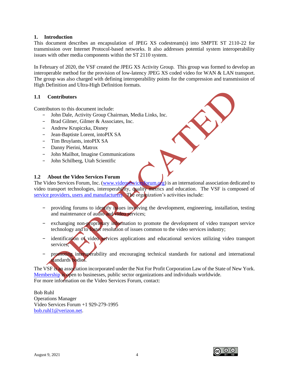#### <span id="page-4-0"></span>**1. Introduction**

This document describes an encapsulation of JPEG XS codestream(s) into SMPTE ST 2110-22 for transmission over Internet Protocol-based networks. It also addresses potential system interoperability issues with other media components within the ST 2110 system.

In February of 2020, the VSF created the JPEG XS Activity Group. This group was formed to develop an interoperable method for the provision of low-latency JPEG XS coded video for WAN & LAN transport. The group was also charged with defining interoperability points for the compression and transmission of High Definition and Ultra-High Definition formats.

#### <span id="page-4-1"></span>**1.1 Contributors**

Contributors to this document include:

- − John Dale, Activity Group Chairman, Media Links, Inc.
- − Brad Gilmer, Gilmer & Associates, Inc.
- − Andrew Krupiczka, Disney
- − Jean-Baptiste Lorent, intoPIX SA
- − Tim Bruylants, intoPIX SA
- − Danny Pierini, Matrox
- − John Mailhot, Imagine Communications
- − John Schilberg, Utah Scientific

#### <span id="page-4-2"></span>**1.2 About the Video Services Forum**

The Video Services Forum, Inc. [\(www.videoservicesforum.org\)](http://www.videoservicesforum.org/) is an international association dedicated to video transport technologies, interoperability, quality metrics and education. The VSF is composed of [service providers, users and manufacturers.](http://www.videoservicesforum.org/members/members.htm) The organization's activities include:

- − providing forums to identify issues involving the development, engineering, installation, testing and maintenance of audio and video services;
- − exchanging non-proprietary information to promote the development of video transport service technology and to foster resolution of issues common to the video services industry;
- − identification of video services applications and educational services utilizing video transport services;
- promoting interoperability and encouraging technical standards for national and international standards bodies.

The VSF is an association incorporated under the Not For Profit Corporation Law of the State of New York. [Membership](http://www.videoservicesforum.org/membership/membership.htm) is open to businesses, public sector organizations and individuals worldwide. For more information on the Video Services Forum, contact:

Bob Ruhl Operations Manager Video Services Forum +1 929-279-1995 [bob.ruhl1@verizon.net.](mailto:bob.ruhl1@verizon.net)

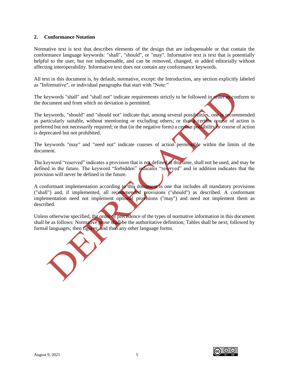#### <span id="page-5-0"></span>**2. Conformance Notation**

Normative text is text that describes elements of the design that are indispensable or that contain the conformance language keywords: "shall", "should", or "may". Informative text is text that is potentially helpful to the user, but not indispensable, and can be removed, changed, or added editorially without affecting interoperability. Informative text does not contain any conformance keywords.

All text in this document is, by default, normative, except: the Introduction, any section explicitly labeled as "Informative", or individual paragraphs that start with "Note:"

The keywords "shall" and "shall not" indicate requirements strictly to be followed in order to conform to the document and from which no deviation is permitted.

The keywords, "should" and "should not" indicate that, among several possibilities, one is recommended as particularly suitable, without mentioning or excluding others; or that a certain course of action is preferred but not necessarily required; or that (in the negative form) a certain possibility or course of action is deprecated but not prohibited.

The keywords "may" and "need not" indicate courses of action permissible within the limits of the document.

The keyword "reserved" indicates a provision that is not defined at this time, shall not be used, and may be defined in the future. The keyword "forbidden" indicates "reserved" and in addition indicates that the provision will never be defined in the future.

A conformant implementation according to this document is one that includes all mandatory provisions ("shall") and, if implemented, all recommended provisions ("should") as described. A conformant implementation need not implement optional provisions ("may") and need not implement them as described.

Unless otherwise specified, the order of precedence of the types of normative information in this document shall be as follows: Normative prose shall be the authoritative definition; Tables shall be next; followed by formal languages; then figures; and then any other language forms.



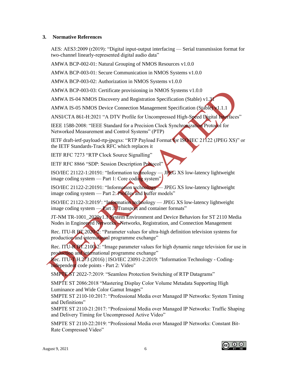#### <span id="page-6-0"></span>**3. Normative References**

AES: AES3:2009 (r2019): "Digital input-output interfacing — Serial transmission format for two-channel linearly-represented digital audio data"

AMWA BCP-002-01: Natural Grouping of NMOS Resources v1.0.0

AMWA BCP-003-01: Secure Communication in NMOS Systems v1.0.0

AMWA BCP-003-02: Authorization in NMOS Systems v1.0.0

AMWA BCP-003-03: Certificate provisioning in NMOS Systems v1.0.0

AMWA IS-04 NMOS Discovery and Registration Specification (Stable) v1.31

AMWA IS-05 NMOS Device Connection Management Specification (Stable) v1.1.1

ANSI/CTA 861-H:2021 "A DTV Profile for Uncompressed High-Speed Digital Interfaces"

IEEE 1588-2008: "IEEE Standard for a Precision Clock Synchronization Protocol for Networked Measurement and Control Systems" (PTP)

IETF draft-ietf-payload-rtp-jpegxs: "RTP Payload Format for ISO/IEC 21122 (JPEG XS)" or the IETF Standards-Track RFC which replaces it

IETF RFC 7273 "RTP Clock Source Signalling"

IETF RFC 8866 "SDP: Session Description Protocol"

ISO/IEC 21122-1:20191: "Information technology — JPEG XS low-latency lightweight image coding system — Part 1: Core coding system"

ISO/IEC 21122-2:20191: "Information technology — JPEG XS low-latency lightweight image coding system  $-$  Part 2: Profiles and buffer models"

ISO/IEC 21122-3:2019<sup>1</sup>: "Information technology — JPEG XS low-latency lightweight image coding system — Part 3: Transport and container formats"

JT-NM TR-1001\_2020v1.1 System Environment and Device Behaviors for ST 2110 Media Nodes in Engineered Networks - Networks, Registration, and Connection Management

Rec. ITU-R BT.2020-2: "Parameter values for ultra-high definition television systems for production and international programme exchange"

Rec. ITU-R BT.2100-2: "Image parameter values for high dynamic range television for use in production and international programme exchange"

Rec. ITU-T H.273 (2016) | ISO/IEC 23091-2:2019: "Information Technology - Codingindependent code points - Part 2: Video"

SMPTE ST 2022-7:2019: "Seamless Protection Switching of RTP Datagrams"

SMPTE ST 2086:2018 "Mastering Display Color Volume Metadata Supporting High Luminance and Wide Color Gamut Images"

SMPTE ST 2110-10:2017: "Professional Media over Managed IP Networks: System Timing and Definitions"

SMPTE ST 2110-21:2017: "Professional Media over Managed IP Networks: Traffic Shaping and Delivery Timing for Uncompressed Active Video"

SMPTE ST 2110-22:2019: "Professional Media over Managed IP Networks: Constant Bit-Rate Compressed Video"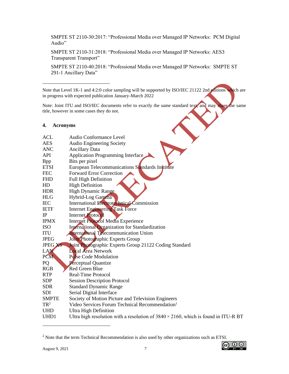SMPTE ST 2110-30:2017: "Professional Media over Managed IP Networks: PCM Digital Audio"

SMPTE ST 2110-31:2018: "Professional Media over Managed IP Networks: AES3 Transparent Transport"

SMPTE ST 2110-40:2018: "Professional Media over Managed IP Networks: SMPTE ST 291-1 Ancillary Data"

Note that Level 1K-1 and 4:2:0 color sampling will be supported by ISO/IEC 21122 2nd editions which are in progress with expected publication January-March 2022

Note: Joint ITU and ISO/IEC documents refer to exactly the same standard text, and may share the same title, however in some cases they do not.

#### <span id="page-7-0"></span>**4. Acronyms**

\_\_\_\_\_\_\_\_\_\_\_\_\_\_\_\_\_\_\_\_\_\_\_\_\_\_

| ACL             | Audio Conformance Level                                                                    |
|-----------------|--------------------------------------------------------------------------------------------|
| <b>AES</b>      | <b>Audio Engineering Society</b>                                                           |
| <b>ANC</b>      | <b>Ancillary Data</b>                                                                      |
| <b>API</b>      | Application Programming Interface                                                          |
| <b>Bpp</b>      | Bits per pixel                                                                             |
| <b>ETSI</b>     | European Telecommunications Standards Institute                                            |
| <b>FEC</b>      | <b>Forward Error Correction</b>                                                            |
| <b>FHD</b>      | Full High Definition                                                                       |
| HD              | <b>High Definition</b>                                                                     |
| <b>HDR</b>      | <b>High Dynamic Range</b>                                                                  |
| <b>HLG</b>      | Hybrid-Log Gamma                                                                           |
| <b>IEC</b>      | International Electrotechnical Commission                                                  |
| <b>IETF</b>     | <b>Internet Engineering Task Force</b>                                                     |
| $_{\rm IP}$     | <b>Internet Protocol</b>                                                                   |
| <b>IPMX</b>     | Internet Protocol Media Experience                                                         |
| <b>ISO</b>      | International Organization for Standardization                                             |
| <b>ITU</b>      | International Telecommunication Union                                                      |
| <b>JPEG</b>     | Joint Photographic Experts Group                                                           |
| <b>JPEG XS</b>  | Joint Photographic Experts Group 21122 Coding Standard                                     |
| LAN             | <b>Local Area Network</b>                                                                  |
| <b>PCM</b>      | <b>Pulse Code Modulation</b>                                                               |
| PQ              | Perceptual Quantize                                                                        |
| <b>RGB</b>      | Red Green Blue                                                                             |
| <b>RTP</b>      | <b>Real-Time Protocol</b>                                                                  |
| <b>SDP</b>      | <b>Session Description Protocol</b>                                                        |
| <b>SDR</b>      | <b>Standard Dynamic Range</b>                                                              |
| <b>SDI</b>      | Serial Digital Interface                                                                   |
| <b>SMPTE</b>    | Society of Motion Picture and Television Engineers                                         |
| TR <sup>2</sup> | Video Services Forum Technical Recommendation <sup>1</sup>                                 |
| <b>UHD</b>      | <b>Ultra High Definition</b>                                                               |
| UHD1            | Ultra high resolution with a resolution of $3840 \times 2160$ , which is found in ITU-R BT |

 $2$  Note that the term Technical Recommendation is also used by other organizations such as ETSI.

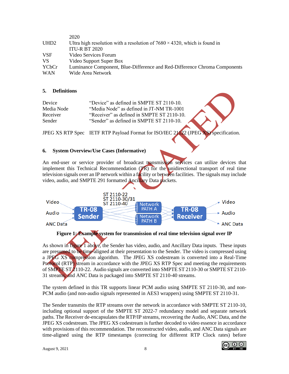|                  | 2020                                                                              |
|------------------|-----------------------------------------------------------------------------------|
| UHD <sub>2</sub> | Ultra high resolution with a resolution of $7680 \times 4320$ , which is found in |
|                  | <b>ITU-R BT 2020</b>                                                              |
| <b>VSF</b>       | Video Services Forum                                                              |
| <b>VS</b>        | Video Support Super Box                                                           |
| YCbCr            | Luminance Component, Blue-Difference and Red-Difference Chroma Components         |
| <b>WAN</b>       | Wide Area Network                                                                 |

#### <span id="page-8-0"></span>**5. Definitions**

| Device     | "Device" as defined in SMPTE ST 2110-10.   |
|------------|--------------------------------------------|
| Media Node | "Media Node" as defined in JT-NM TR-1001   |
| Receiver   | "Receiver" as defined in SMPTE ST 2110-10. |
| Sender     | "Sender" as defined in SMPTE ST 2110-10.   |

JPEG XS RTP Spec IETF RTP Payload Format for ISO/IEC 21122 (JPEG XS) specification.

#### <span id="page-8-1"></span>**6. System Overview/Use Cases (Informative)**

An end-user or service provider of broadcast transmission services can utilize devices that implement this Technical Recommendation  $(TR)$  for the unidirectional transport of real time television signals over an IP network within a facility or between facilities. The signals may include video, audio, and SMPTE 291 formatted Ancillary Data packets.





As shown in figure 1 above, the Sender has video, audio, and Ancillary Data inputs. These inputs are presumed to be time-aligned at their presentation to the Sender. The video is compressed using a JPEG XS compression algorithm. The JPEG XS codestream is converted into a Real-Time Protocol (RTP) stream in accordance with the JPEG XS RTP Spec and meeting the requirements of SMPTE ST 2110-22. Audio signals are converted into SMPTE ST 2110-30 or SMPTE ST 2110- 31 streams, and ANC Data is packaged into SMPTE ST 2110-40 streams.

The system defined in this TR supports linear PCM audio using SMPTE ST 2110-30, and non-PCM audio (and non-audio signals represented in AES3 wrappers) using SMPTE ST 2110-31.

The Sender transmits the RTP streams over the network in accordance with SMPTE ST 2110-10, including optional support of the SMPTE ST 2022-7 redundancy model and separate network paths. The Receiver de-encapsulates the RTP/IP streams, recovering the Audio, ANC Data, and the JPEG XS codestream. The JPEG XS codestream is further decoded to video essence in accordance with provisions of this recommendation. The reconstructed video, audio, and ANC Data signals are time-aligned using the RTP timestamps (correcting for different RTP Clock rates) before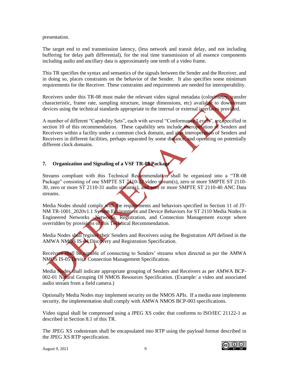presentation.

The target end to end transmission latency, (less network and transit delay, and not including buffering for delay path differential), for the real time transmission of all essence components including audio and ancillary data is approximately one tenth of a video frame.

This TR specifies the syntax and semantics of the signals between the Sender and the Receiver, and in doing so, places constraints on the behavior of the Sender. It also specifies some minimum requirements for the Receiver. These constraints and requirements are needed for interoperability.

Receivers under this TR-08 must make the relevant video signal metadata (colorimetry, transfer characteristic, frame rate, sampling structure, image dimensions, etc) available to downstream devices using the technical standards appropriate to the internal or external interfaces provided.

A number of different "Capability Sets", each with several "Conformance Levels", are specified in section 10 of this recommendation. These capability sets include interoperation of Senders and Receivers within a facility under a common clock domain, and also interoperation of Senders and Receivers in different facilities, perhaps separated by some distance, and operating on potentially different clock domains.

## <span id="page-9-0"></span>**7. Organization and Signaling of a VSF TR-08 Package**

Streams compliant with this Technical Recommendation shall be organized into a "TR-08 Package" consisting of one SMPTE ST 2110-22 video stream(s), zero or more SMPTE ST 2110-30, zero or more ST 2110-31 audio stream(s), and zero or more SMPTE ST 2110-40 ANC Data streams.

Media Nodes should comply with the requirements and behaviors specified in Section 11 of JT-NM TR-1001 2020v1.1 System Environment and Device Behaviors for ST 2110 Media Nodes in Engineered Networks –Networks, Registration, and Connection Management except where overridden by provisions of this Technical Recommendation.

Media Nodes shall register their Senders and Receivers using the Registration API defined in the AMWA NMOS IS-04 Discovery and Registration Specification.

Receivers shall be capable of connecting to Senders' streams when directed as per the AMWA NMOS IS-05 Device Connection Management Specification.

Media Nodes shall indicate appropriate grouping of Senders and Receivers as per AMWA BCP-002-01 Natural Grouping Of NMOS Resources Specification. (Example: a video and associated audio stream from a field camera.)

Optionally Media Nodes may implement security on the NMOS APIs. If a media note implements security, the implementation shall comply with AMWA NMOS BCP-003 specifications.

Video signal shall be compressed using a JPEG XS codec that conforms to ISO/IEC 21122-1 as described in Section 8.1 of this TR.

The JPEG XS codestream shall be encapsulated into RTP using the payload format described in the JPEG XS RTP specification.

August 9, 2021 9

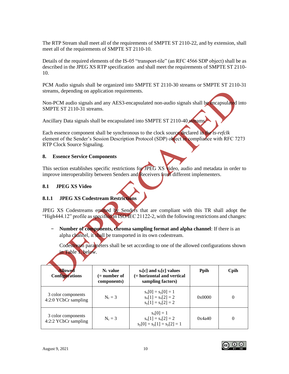The RTP Stream shall meet all of the requirements of SMPTE ST 2110-22, and by extension, shall meet all of the requirements of SMPTE ST 2110-10.

Details of the required elements of the IS-05 "transport-tile" (an RFC 4566 SDP object) shall be as described in the JPEG XS RTP specification and shall meet the requirements of SMPTE ST 2110- 10.

PCM Audio signals shall be organized into SMPTE ST 2110-30 streams or SMPTE ST 2110-31 streams, depending on application requirements.

Non-PCM audio signals and any AES3-encapsulated non-audio signals shall be encapsulated into SMPTE ST 2110-31 streams.

Ancillary Data signals shall be encapsulated into SMPTE ST 2110-40 streams.

Each essence component shall be synchronous to the clock source declared in the *ts-refclk* element of the Sender's Session Description Protocol (SDP) object in compliance with RFC 7273 RTP Clock Source Signaling.

#### <span id="page-10-0"></span>**8. Essence Service Components**

This section establishes specific restrictions for JPEG XS video, audio and metadata in order to improve interoperability between Senders and Receivers from different implementers.

#### <span id="page-10-1"></span>**8.1 JPEG XS Video**

#### **8.1.1 JPEG XS Codestream Restrictions**

JPEG XS Codestreams emitted by Senders that are compliant with this TR shall adopt the "High444.12" profile as specified in ISO/IEC 21122-2, with the following restrictions and changes:

**Number of components, chroma sampling format and alpha channel:** If there is an alpha channel, it shall be transported in its own codestream.

Codestream parameters shall be set according to one of the allowed configurations shown in Table 1. below.

| <b>Allowed</b><br><b>Configurations</b>    | N <sub>c</sub> value<br>$(=$ number of<br>components) | $s_x[c]$ and $s_y[c]$ values<br>(= horizontal and vertical<br>sampling factors) | Ppih   | Cpih |  |
|--------------------------------------------|-------------------------------------------------------|---------------------------------------------------------------------------------|--------|------|--|
| 3 color components<br>4:2:0 YCbCr sampling | $N_c = 3$                                             | $s_x[0] = s_y[0] = 1$<br>$s_x[1] = s_x[2] = 2$<br>$s_v[1] = s_v[2] = 2$         | 0x0000 | 0    |  |
| 3 color components<br>4:2:2 YCbCr sampling | $N_c = 3$                                             | $s_x[0] = 1$<br>$s_x[1] = s_x[2] = 2$<br>$s_v[0] = s_v[1] = s_v[2] = 1$         | 0x4a40 | 0    |  |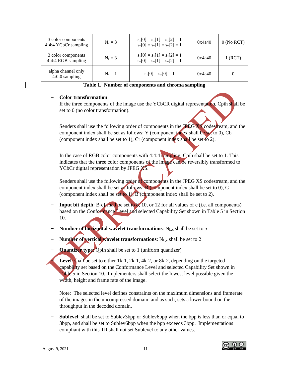| 3 color components<br>4:4:4 YCbCr sampling | $N_c = 3$ | $s_x[0] = s_x[1] = s_x[2] = 1$<br>$s_v[0] = s_v[1] = s_v[2] = 1$ | 0x4a40 | $0$ (No RCT) |
|--------------------------------------------|-----------|------------------------------------------------------------------|--------|--------------|
| 3 color components<br>4:4:4 RGB sampling   | $N_c = 3$ | $s_x[0] = s_x[1] = s_x[2] = 1$<br>$s_y[0] = s_y[1] = s_y[2] = 1$ | 0x4a40 | $1$ (RCT)    |
| alpha channel only<br>$4:0:0$ sampling     | $N_c = 1$ | $s_x[0] = s_y[0] = 1$                                            | 0x4a40 |              |

**Table 1. Number of components and chroma sampling**

#### − **Color transformation**:

If the three components of the image use the YCbCR digital representation, Cpih shall be set to 0 (no color transformation).

Senders shall use the following order of components in the JPEG XS codestream, and the component index shall be set as follows: Y (component index shall be set to 0), Cb (component index shall be set to 1), Cr (component index shall be set to 2).

In the case of RGB color components with 4:4:4 sampling, Cpih shall be set to 1. This indicates that the three color components of the image can be reversibly transformed to YCbCr digital representation by JPEG XS.

Senders shall use the following order of components in the JPEG XS codestream, and the component index shall be set as follows: R (component index shall be set to 0), G (component index shall be set to  $1$ ), B (component index shall be set to 2).

- **Input bit depth:** B[c] shall be set to 8, 10, or 12 for all values of c (i.e. all components) based on the Conformance Level and selected Capability Set shown in Table 5 in Section 10.
- **Number of horizontal wavelet transformations:** N<sub>L,x</sub> shall be set to 5
- **Number of vertical wavelet transformations:** N<sub>L,y</sub> shall be set to 2
- **Quantizer type:** Qpih shall be set to 1 (uniform quantizer)

**Level: shall'** be set to either 1k-1, 2k-1, 4k-2, or 8k-2, depending on the targeted capability set based on the Conformance Level and selected Capability Set shown in Table 5 in Section 10. Implementers shall select the lowest level possible given the width, height and frame rate of the image.

Note: The selected level defines constraints on the maximum dimensions and framerate of the images in the uncompressed domain, and as such, sets a lower bound on the throughput in the decoded domain.

− **Sublevel**: shall be set to Sublev3bpp or Sublev6bpp when the bpp is less than or equal to 3bpp, and shall be set to Sublev6bpp when the bpp exceeds 3bpp. Implementations compliant with this TR shall not set Sublevel to any other values.

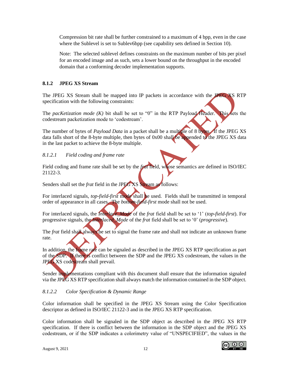Compression bit rate shall be further constrained to a maximum of 4 bpp, even in the case where the Sublevel is set to Sublev6bpp (see capability sets defined in Section 10).

Note: The selected sublevel defines constraints on the maximum number of bits per pixel for an encoded image and as such, sets a lower bound on the throughput in the encoded domain that a conforming decoder implementation supports.

#### **8.1.2 JPEG XS Stream**

The JPEG XS Stream shall be mapped into IP packets in accordance with the JPEG XS RTP specification with the following constraints:

The *pacKetization mode* (K) bit shall be set to "0" in the RTP Payload Header. This sets the codestream packetization mode to 'codestream'.

The number of bytes of *Payload Data* in a packet shall be a multiple of 8 bytes. If the JPEG XS data falls short of the 8-byte multiple, then bytes of 0x00 shall be appended to the JPEG XS data in the last packet to achieve the 8-byte multiple.

#### *8.1.2.1 Field coding and frame rate*

Field coding and frame rate shall be set by the *frat* field, whose semantics are defined in ISO/IEC 21122-3.

Senders shall set the *frat* field in the JPEG XS Stream as follows:

For interlaced signals, *top-field-first* mode shall be used. Fields shall be transmitted in temporal order of appearance in all cases. The *bottom-field-first* mode shall not be used.

For interlaced signals, the *Interlace\_Mode* of the *frat* field shall be set to '1' (*top-field-first*). For progressive signals, the *Interlaced\_Mode* of the *frat* field shall be set to '0' (*progressive*).

The *frat* field shall always be set to signal the frame rate and shall not indicate an unknown frame rate.

In addition, the frame rate can be signaled as described in the JPEG XS RTP specification as part of the SDP. If there is conflict between the SDP and the JPEG XS codestream, the values in the JPEG XS codestream shall prevail.

Sender implementations compliant with this document shall ensure that the information signaled via the JPEG XS RTP specification shall always match the information contained in the SDP object.

#### *8.1.2.2 Color Specification & Dynamic Range*

Color information shall be specified in the JPEG XS Stream using the Color Specification descriptor as defined in ISO/IEC 21122-3 and in the JPEG XS RTP specification.

Color information shall be signaled in the SDP object as described in the JPEG XS RTP specification. If there is conflict between the information in the SDP object and the JPEG XS codestream, or if the SDP indicates a colorimetry value of "UNSPECIFIED", the values in the

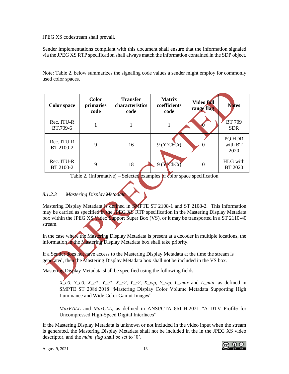JPEG XS codestream shall prevail.

Sender implementations compliant with this document shall ensure that the information signaled via the JPEG XS RTP specification shall always match the information contained in the SDP object.

| <b>Color</b> space      | <b>Color</b><br>primaries<br>code | <b>Transfer</b><br>characteristics<br>code | <b>Matrix</b><br>coefficients<br>code | Video full<br>range flag | <b>Notes</b>                |
|-------------------------|-----------------------------------|--------------------------------------------|---------------------------------------|--------------------------|-----------------------------|
| Rec. ITU-R<br>BT.709-6  |                                   |                                            | 1                                     |                          | <b>BT 709</b><br><b>SDR</b> |
| Rec. ITU-R<br>BT.2100-2 | 9                                 | 16                                         | 9(Y'CbCr)                             | 0                        | PQ HDR<br>with BT<br>2020   |
| Rec. ITU-R<br>BT.2100-2 | 9                                 | 18                                         | <b>bCri</b><br>90                     | 0                        | HLG with<br><b>BT 2020</b>  |

Note: Table 2. below summarizes the signaling code values a sender might employ for commonly used color spaces.

Table 2. (Informative) – Selected examples of color space specification

#### *8.1.2.3 Mastering Display Metadata*

Mastering Display Metadata is defined in SMPTE ST 2108-1 and ST 2108-2. This information may be carried as specified in the JPEG XS RTP specification in the Mastering Display Metadata box within the JPEG XS Video Support Super Box (VS), or it may be transported in a ST 2110-40 stream.

In the case where the Mastering Display Metadata is present at a decoder in multiple locations, the information in the Mastering Display Metadata box shall take priority.

If a Sender does not have access to the Mastering Display Metadata at the time the stream is generated, then the Mastering Display Metadata box shall not be included in the VS box.

Mastering Display Metadata shall be specified using the following fields:

- *X\_c0, Y\_c0, X\_c1, Y\_c1, X\_c2, Y\_c2, X\_wp, Y\_wp, L\_max* and *L\_min*, as defined in SMPTE ST 2086:2018 "Mastering Display Color Volume Metadata Supporting High Luminance and Wide Color Gamut Images"
- *MaxFALL* and *MaxCLL*, as defined in ANSI/CTA 861-H:2021 "A DTV Profile for Uncompressed High-Speed Digital Interfaces"

If the Mastering Display Metadata is unknown or not included in the video input when the stream is generated, the Mastering Display Metadata shall not be included in the in the JPEG XS video descriptor, and the *mdm\_flag* shall be set to '0'.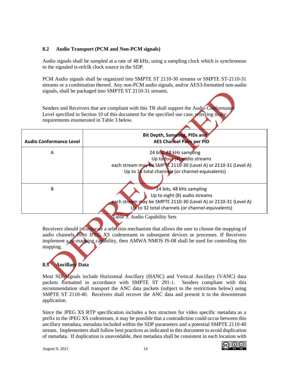#### <span id="page-14-0"></span>**8.2 Audio Transport (PCM and Non-PCM signals)**

Audio signals shall be sampled at a rate of 48 kHz, using a sampling clock which is synchronous to the signaled ts-refclk clock source in the SDP.

PCM Audio signals shall be organized into SMPTE ST 2110-30 streams or SMPTE ST-2110-31 streams or a combination thereof. Any non-PCM audio signals, and/or AES3-formatted non-audio signals, shall be packaged into SMPTE ST 2110-31 streams.

Senders and Receivers that are compliant with this TR shall support the Audio Conformance Level specified in Section 10 of this document for the specified use case, referring to the requirements enumerated in Table 3 below.

| <b>Audio Conformance Level</b> | Bit Depth, Sampling, PIDs and<br><b>AES Channel Pairs per PID</b>                                                                                                                |
|--------------------------------|----------------------------------------------------------------------------------------------------------------------------------------------------------------------------------|
| A                              | 24 bits, 48 kHz sampling<br>Up to four (4) addio streams<br>each stream may be SMPTE 2110-30 (Level A) or 2110-31 (Level A)<br>Up to 16 total channels (or channel-equivalents)  |
| B                              | 24 bits, 48 kHz sampling<br>Up to eight (8) audio streams<br>each stream may be SMPTE 2110-30 (Level A) or 2110-31 (Level A)<br>Up to 32 total channels (or channel-equivalents) |

able 3. Audio Capability Sets

Receivers should incorporate a selection mechanism that allows the user to choose the mapping of audio channels from JPEG XS codestreams to subsequent devices or processes. If Receivers implement a re-mapping capability, then AMWA NMOS IS-08 shall be used for controlling this mapping.

# <span id="page-14-1"></span>**8.3 Ancillary Data**

Most SDI signals include Horizontal Ancillary (HANC) and Vertical Ancillary (VANC) data packets formatted in accordance with SMPTE ST 291-1. Senders compliant with this recommendation shall transport the ANC data packets (subject to the restrictions below) using SMPTE ST 2110-40. Receivers shall recover the ANC data and present it to the downstream application.

Since the JPEG XS RTP specification includes a box structure for video specific metadata as a prefix to the JPEG XS codestream, it may be possible that a contradiction could occur between this ancillary metadata, metadata included within the SDP parameters and a potential SMPTE 2110-40 stream. Implementers shall follow best practices as indicated in this document to avoid duplication of metadata. If duplication is unavoidable, then metadata shall be consistent in each location with

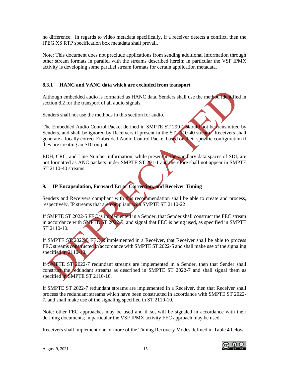no difference. In regards to video metadata specifically, if a receiver detects a conflict, then the JPEG XS RTP specification box metadata shall prevail.

Note: This document does not preclude applications from sending additional information through other stream formats in parallel with the streams described herein; in particular the VSF IPMX activity is developing some parallel stream formats for certain application metadata.

#### **8.3.1 HANC and VANC data which are excluded from transport**

Although embedded audio is formatted as HANC data, Senders shall use the method identified in section 8.2 for the transport of all audio signals.

Senders shall not use the methods in this section for audio.

The Embedded Audio Control Packet defined in SMPTE ST 299-1 should not be transmitted by Senders, and shall be ignored by Receivers if present in the ST 2110-40 stream. Receivers shall generate a locally correct Embedded Audio Control Packet based on their specific configuration if they are creating an SDI output.

EDH, CRC, and Line Number information, while present in the ancillary data spaces of SDI, are not formatted as ANC packets under SMPTE ST 291-1 and therefore shall not appear in SMPTE ST 2110-40 streams.

# <span id="page-15-0"></span>**9. IP Encapsulation, Forward Error Correction, and Receiver Timing**

Senders and Receivers compliant with this recommendation shall be able to create and process, respectively, IP streams that are compliant with SMPTE ST 2110-22.

If SMPTE ST 2022-5 FEC is implemented in a Sender, that Sender shall construct the FEC stream in accordance with SMPTE ST 2022-5, and signal that FEC is being used, as specified in SMPTE ST 2110-10.

If SMPTE ST 2022-5 FEC is implemented in a Receiver, that Receiver shall be able to process FEC streams constructed in accordance with SMPTE ST 2022-5 and shall make use of the signaling specified in 2110-10.

If SMPTE ST 2022-7 redundant streams are implemented in a Sender, then that Sender shall construct the redundant streams as described in SMPTE ST 2022-7 and shall signal them as specified in SMPTE ST 2110-10.

If SMPTE ST 2022-7 redundant streams are implemented in a Receiver, then that Receiver shall process the redundant streams which have been constructed in accordance with SMPTE ST 2022- 7, and shall make use of the signaling specified in ST 2110-10.

Note: other FEC approaches may be used and if so, will be signaled in accordance with their defining documents; in particular the VSF IPMX activity FEC approach may be used.

Receivers shall implement one or more of the Timing Recovery Modes defined in Table 4 below.

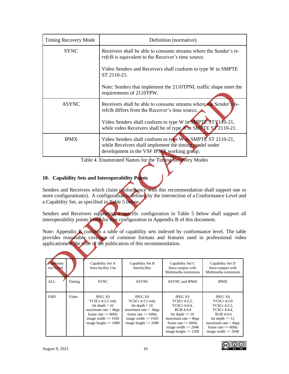| Timing Recovery Mode | Definition (normative)                                                                                                                                            |
|----------------------|-------------------------------------------------------------------------------------------------------------------------------------------------------------------|
| <b>SYNC</b>          | Receivers shall be able to consume streams where the Sender's ts-<br><i>refelk</i> is equivalent to the Receiver's time source.                                   |
|                      | Video Senders and Receivers shall conform to type W in SMPTE<br>ST 2110-21.                                                                                       |
|                      | Note: Senders that implement the 2110TPNL traffic shape meet the<br>requirements of 2110TPW.                                                                      |
| <b>ASYNC</b>         | Receivers shall be able to consume streams where the Sender's ts-<br>refelk differs from the Receiver's time source.                                              |
|                      | Video Senders shall conform to type W in SMPTE ST 2140-21,<br>while video Receivers shall be of type $\overrightarrow{A}$ in SMPTE ST 2110-21.                    |
| <b>IPMX</b>          | Video Senders shall conform to type Win SMPTE ST 2110-21,<br>while Receivers shall implement the timing model under<br>development in the VSF IPMX working group. |

Table 4. Enumerated Names for the Timing Recovery Modes

# <span id="page-16-0"></span>**10. Capability Sets and Interoperability Points**

Senders and Receivers which claim conformance with this recommendation shall support one or more configuration(s). A configuration is defined by the intersection of a Conformance Level and a Capability Set, as specified in Table 5 below.

Senders and Receivers supporting a specific configuration in Table 5 below shall support all interoperability points listed for that configuration in Appendix B of this document.

Note: Appendix B contains a table of capability sets indexed by conformance level. The table provides reasonable coverage of common formats and features used in professional video applications at the time of the publication of this recommendation.

| Conforma<br>nce Level |        | Capability Set A<br>Intra-facility Use                                                                                                                             | Capability Set B<br>Interfacility                                                                                                                               | Capability Set C<br>Intra-campus with<br>Multimedia extensions                                                                                                                              | Capability Set D<br>Intra-campus with<br>Multimedia extensions                                                                                                                   |
|-----------------------|--------|--------------------------------------------------------------------------------------------------------------------------------------------------------------------|-----------------------------------------------------------------------------------------------------------------------------------------------------------------|---------------------------------------------------------------------------------------------------------------------------------------------------------------------------------------------|----------------------------------------------------------------------------------------------------------------------------------------------------------------------------------|
| ALL.                  | Timing | <b>SYNC</b>                                                                                                                                                        | <b>ASYNC</b>                                                                                                                                                    | <b>ASYNC</b> and IPMX                                                                                                                                                                       | <b>IPMX</b>                                                                                                                                                                      |
| <b>FHD</b>            | Video  | <b>JPEG XS</b><br>YCbCr $4:2:2$ only<br>bit depth $= 10$<br>$maximum rate = 4bpp$<br>frame rate $\leq$ 60Hz<br>image width $\leq$ 1920<br>image height $\leq$ 1080 | <b>JPEG XS</b><br>YCbCr 4:2:2 only<br>bit depth $= 10$<br>maximum rate $= 4bp$<br>frame rate $\leq$ 60Hz<br>image width $\leq$ 1920<br>image height $\leq$ 1080 | <b>JPEG XS</b><br>YCbCr 4:2:2.<br>YCbCr 4:4:4.<br>RGB4.4.4<br>bit depth $\leq 10$<br>maximum rate $=$ 4bpp<br>frame rate $\leq$ 60Hz<br>image width $\leq$ 2048<br>image height $\leq$ 1200 | <b>JPEG XS</b><br>YCbCr $4:2:0$<br>YCbCr 4:2:2.<br>YCbCr 4:4:4.<br>RGB4.4.4<br>bit depth $\leq 12$<br>maximum rate $=$ 4bpp<br>frame rate $\leq$ 60Hz<br>image width $\leq$ 2048 |

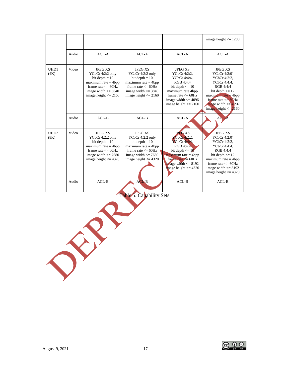|                           |       |                                                                                                                                                                  |                                                                                                                                                                  |                                                                                                                                                                                                     | image height $<= 1200$                                                                                                                                                                                               |
|---------------------------|-------|------------------------------------------------------------------------------------------------------------------------------------------------------------------|------------------------------------------------------------------------------------------------------------------------------------------------------------------|-----------------------------------------------------------------------------------------------------------------------------------------------------------------------------------------------------|----------------------------------------------------------------------------------------------------------------------------------------------------------------------------------------------------------------------|
|                           | Audio | $ACI - A$                                                                                                                                                        | $ACI - A$                                                                                                                                                        | $ACI - A$                                                                                                                                                                                           | $ACL-A$                                                                                                                                                                                                              |
| UHD1<br>(4K)              | Video | <b>JPEG XS</b><br>YCbCr 4:2:2 only<br>bit depth $= 10$<br>maximum rate $=$ 4bpp<br>frame rate $\leq$ 60Hz<br>image width $\leq$ 3840<br>image height $\leq$ 2160 | <b>JPEG XS</b><br>YCbCr 4:2:2 only<br>bit depth $= 10$<br>maximum rate $=$ 4bpp<br>frame rate $\leq$ 60Hz<br>image width $\leq$ 3840<br>image height $\leq$ 2160 | <b>JPEG XS</b><br>YCbCr 4:2:2,<br>YCbCr 4:4:4.<br>RGB 4:4:4<br>bit depth $\leq 10$<br>maximum rate 4bpp<br>frame rate $\leq$ 60Hz<br>image width $\leq$ 4096<br>image height $\leq$ 2160            | <b>JPEG XS</b><br>YCbCr $4:2:04$<br>YCbCr 4:2:2.<br>YCbCr 4:4:4.<br>RGB 4:4:4<br>bit depth $\leq 12$<br>$maximum$ rate = 4bpp<br>frame rate $\leq$ 60Hz<br>image width $\leq$ 4096<br>image height $\leq$ 2160       |
|                           | Audio | $ACL-B$                                                                                                                                                          | $ACI - B$                                                                                                                                                        | ACL-A                                                                                                                                                                                               | <b>ACL</b>                                                                                                                                                                                                           |
| UH <sub>D</sub> 2<br>(8K) | Video | <b>JPEG XS</b><br>YCbCr 4:2:2 only<br>bit depth $= 10$<br>maximum rate $=$ 4bpp<br>frame rate $\leq$ 60Hz<br>image width $\leq$ 7680<br>image height $\leq$ 4320 | <b>JPEG XS</b><br>YCbCr 4:2:2 only<br>bit depth $= 10$<br>maximum rate $=$ 4bpp<br>frame rate $\leq$ 60Hz<br>image width $\leq$ 7680<br>image height $\leq$ 4320 | <b>JPEG XS</b><br>YCbCr 4.2:2,<br><b>YCbCr 4:4:4.</b><br>RGB 4:4:4<br>bit depth $\leq 10$<br>$maximum$ rate = 4bpp<br>frame rate $\leq$ 60Hz<br>image width $\leq 8192$<br>image height $\leq$ 4320 | <b>JPEG XS</b><br>YCbCr $4:2:04$<br>YCbCr 4:2:2.<br>YCbCr 4:4:4.<br>RGB 4:4:4<br>bit depth $\leq 12$<br>maximum rate $=$ 4bpp<br>frame rate $\epsilon$ = 60Hz<br>image width $\leq 8192$<br>image height $\leq$ 4320 |
|                           | Audio | $ACL-B$                                                                                                                                                          | ACL-B                                                                                                                                                            | $ACL-B$                                                                                                                                                                                             | $ACL-B$                                                                                                                                                                                                              |

Table 5. Capability Sets



R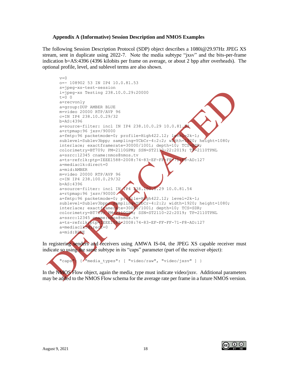#### <span id="page-18-0"></span>**Appendix A (Informative) Session Description and NMOS Examples**

The following Session Description Protocol (SDP) object describes a 1080i@29.97Hz JPEG XS stream, sent in duplicate using 2022-7. Note the media subtype "jxsv" and the bits-per-frame indication b=AS:4396 (4396 kilobits per frame on average, or about 2 bpp after overheads). The optional profile, level, and sublevel terms are also shown.

```
v=0o=- 108902 53 IN IP4 10.0.81.53
s=jpeg-xs-test-session
i=jpeg-xs Testing 238.10.0.29:20000
t=0 0
a=recvonly
a=group:DUP AMBER BLUE
m=video 20000 RTP/AVP 96
c=IN IP4 238.10.0.29/32
b=AS:4396
a=source-filter: incl IN IP4 238.10.0.29 10.0.81
a=rtpmap:96 jxsv/90000
a=fmtp:96 packetmode=0; profile=High422.12; level=2k-1; 
sublevel=Sublev3bpp; sampling=YCbCr-4:2:2; width=1920; height=1080; 
interlace; exactframerate=30000/1001; depth=10; TCS=SDR; 
colorimetry=BT709; PM=2110GPM; SSN=ST2110-22:2019; TP=2110TPNL
a=ssrc:12345 cname:nmos@nmos.tv
a=ts-refclk:ptp=IEEE1588-2008:74-83-EF-FF-FF-71-F8-AD:127
a=mediaclk:direct=0
a=mid:AMBER
m=video 20000 RTP/AVP 96
c=IN IP4 238.100.0.29/32
b=AS:4396
a=source-filter: incl IN 1P4 238.100.0.29 10.0.81.54
a=rtpmap:96 jxsv/90000
a=fmtp:96 packetmode=0; profile=H<sub>1</sub>gh422.12; level=2k-1;
sublevel=Sublev3bpp; sampling=YCbCr-4:2:2; width=1920; height=1080; 
interlace; exactframe<sup>1</sup>ate=30000/1001; depth=10; TCS=SDR;
colorimetry=BT709; PM=2110GPM; SSN=ST2110-22:2019; TP=2110TPNL 
a=ssrc:12345 cname: nmos@nmos.tv
a=ts-refclk:ptp=IEEE1588-2008:74-83-EF-FF-FF-71-F8-AD:127
a=mediaclk:direct=0
a=mid:BLUE
```
In registering senders and receivers using AMWA IS-04, the JPEG XS capable receiver must indicate so using the same subtype in its "caps" parameter (part of the receiver object):

"caps": { "media types": [ "video/raw", "video/jxsv" ] }

In the NMOS Flow object, again the media\_type must indicate video/jxsv. Additional parameters may be added to the NMOS Flow schema for the average rate per frame in a future NMOS version.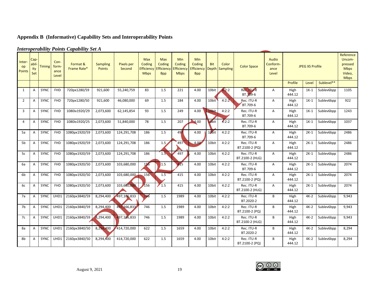# **Appendix B (Informative) Capability Sets and Interoperability Points**

#### *Interoperability Points Capability Set A*

<span id="page-19-0"></span>

| Inter-<br>op<br>Points | Cap-<br>abil<br>ity<br>Set | <b>Timing</b> | Con-<br>form-<br>ance<br>Level | Format &<br>Frame Rate* | <b>Sampling</b><br><b>Points</b> | Pixels per<br>Second | <b>Max</b><br>Coding<br><b>Efficiency</b><br><b>Mbps</b> | <b>Max</b><br>Coding<br>Efficiency<br><b>Bpp</b> | Min<br>Coding<br>Efficiency<br><b>Mbps</b> | <b>Min</b><br>Coding<br>Efficiency<br><b>Bpp</b> | <b>Bit</b> | Color<br>Depth Sampling | <b>Color Space</b>            | Audio<br>Conform-<br>ance<br>Level | <b>JPEG XS Profile</b> |        | Reference<br>Uncom-<br>pressed<br><b>Mbps</b><br>Video,<br><b>Mbps</b> |       |
|------------------------|----------------------------|---------------|--------------------------------|-------------------------|----------------------------------|----------------------|----------------------------------------------------------|--------------------------------------------------|--------------------------------------------|--------------------------------------------------|------------|-------------------------|-------------------------------|------------------------------------|------------------------|--------|------------------------------------------------------------------------|-------|
|                        |                            |               |                                |                         |                                  |                      |                                                          |                                                  |                                            |                                                  |            |                         |                               |                                    | Profile                | Level  | Sublevel**                                                             |       |
| 1                      | A                          | SYNC          | FHD                            | 720px1280/59            | 921,600                          | 55,240,759           | 83                                                       | 1.5                                              | 221                                        | 4.00                                             | 10bit      | 4.2:2                   | Rec. ITU-R<br>BT.709-6        | Α                                  | High<br>444.12         | $1K-1$ | Sublev6bpp                                                             | 1105  |
| $\overline{2}$         | А                          | SYNC          | FHD                            | 720px1280/50            | 921,600                          | 46,080,000           | 69                                                       | $1.5\,$                                          | 184                                        | 4.00                                             | 10bit      | 4:2:2                   | Rec. ITU-R<br>BT.709-6        | Α                                  | High<br>444.12         | $1K-1$ | Sublev6bpp                                                             | 922   |
| 3                      | А                          | <b>SYNC</b>   | <b>FHD</b>                     | 1080ix1920/29           | 2,073,600                        | 62,145,854           | 93                                                       | 1.5                                              | 249                                        | 4.00                                             | 10bit      | 4:2:2                   | Rec. ITU-R<br>BT.709-6        | A                                  | High<br>444.12         | $1K-1$ | Sublev6bpp                                                             | 1243  |
| $\overline{a}$         | A                          | <b>SYNC</b>   | FHD                            | 1080ix1920/25           | 2,073,600                        | 51,840,000           | 78                                                       | $1.5\,$                                          | 207                                        | 4.00                                             | 10bit      | 4:2:2                   | Rec. ITU-R<br>BT.709-6        | A                                  | High<br>444.12         | $1K-1$ | Sublev6bpp                                                             | 1037  |
| 5a                     | A                          | SYNC          | <b>FHD</b>                     | 1080px1920/59           | 2,073,600                        | 124,291,708          | 186                                                      | 1.5                                              | 497                                        | 4.00                                             | 10bit      | 4:2:2                   | Rec. ITU-R<br>BT.709-6        | A                                  | High<br>444.12         | $2K-1$ | Sublev6bpp                                                             | 2486  |
| 5b                     | А                          | <b>SYNC</b>   | <b>FHD</b>                     | 1080px1920/59           | 2,073,600                        | 124,291,708          | 186                                                      | 1.5 <sub>1</sub>                                 | 497                                        | $-4.00$                                          | 10bit      | 4:2:2                   | Rec. ITU-R<br>BT.2100-2 (PQ)  | A                                  | High<br>444.12         | $2K-1$ | Sublev6bpp                                                             | 2486  |
| 5c                     | А                          | <b>SYNC</b>   | <b>FHD</b>                     | 1080px1920/59           | 2,073,600                        | 124,291,708          | 186                                                      | 1.5                                              | 497                                        | 4.00                                             | 10bit      | 4:2:2                   | Rec. ITU-R<br>BT.2100-2 (HLG) | A                                  | High<br>444.12         | $2K-1$ | Sublev6bpp                                                             | 2486  |
| 6а                     | A                          | <b>SYNC</b>   | <b>FHD</b>                     | 1080px1920/50           | 2,073,600                        | 103,680,000          | 156                                                      | 1.5                                              | 415                                        | 4.00                                             | 10bit      | 4:2:2                   | Rec. ITU-R<br>BT.709-6        | A                                  | High<br>444.12         | $2K-1$ | Sublev6bpp                                                             | 2074  |
| 6b                     | A                          | <b>SYNC</b>   | <b>FHD</b>                     | 1080px1920/50           | 2,073,600                        | 103,680,000          | 156                                                      | 1.5                                              | 415                                        | 4.00                                             | 10bit      | 4:2:2                   | Rec. ITU-R<br>BT.2100-2 (PQ)  | A                                  | High<br>444.12         | $2K-1$ | Sublev6bpp                                                             | 2074  |
| 6c                     | A                          | SYNC          | <b>FHD</b>                     | 1080px1920/50           | 2,073,600                        | 103,680,000          | 156                                                      | $\blacktriangledown$ 1.5                         | 415                                        | 4.00                                             | 10bit      | 4:2:2                   | Rec. ITU-R<br>BT.2100-2 (HLG) | A                                  | High<br>444.12         | $2K-1$ | Sublev6bpp                                                             | 2074  |
| 7a                     | $\overline{A}$             | SYNC          | UHD1                           | 2160px3840/59           | 8,294,400                        | 497,166,833          | 746                                                      | 1.5                                              | 1989                                       | 4.00                                             | 10bit      | 4:2:2                   | Rec. ITU-R<br>BT.2020-2       | B                                  | High<br>444.12         | $4K-2$ | Sublev6bpp                                                             | 9,943 |
| 7b                     | A                          | SYNC          | UHD1                           | 2160px3840/59           | 8,294,400                        | 497,166,833          | 746                                                      | 1.5                                              | 1989                                       | 4.00                                             | 10bit      | 4:2:2                   | Rec. ITU-R<br>BT.2100-2 (PQ)  | B                                  | High<br>444.12         | $4K-2$ | Sublev6bpp                                                             | 9,943 |
| 7c                     | A                          | <b>SYNC</b>   | UHD1                           | 2160px3840/59           | 8,294,400                        | 497,166,833          | 746                                                      | 1.5                                              | 1989                                       | 4.00                                             | 10bit      | 4:2:2                   | Rec. ITU-R<br>BT.2100-2 (HLG) | B                                  | High<br>444.12         | $4K-2$ | Sublev6bpp                                                             | 9,943 |
| 8a                     | Α                          | <b>SYNC</b>   | UHD1                           | 2160px3840/50           | 8,294,400                        | 414,720,000          | 622                                                      | 1.5                                              | 1659                                       | 4.00                                             | 10bit      | 4:2:2                   | Rec. ITU-R<br>BT.2020-2       | B                                  | High<br>444.12         | $4K-2$ | Sublev6bpp                                                             | 8,294 |
| 8b                     | A                          | SYNC          | UHD1                           | 2160px3840/50           | 8,294,400                        | 414,720,000          | 622                                                      | 1.5                                              | 1659                                       | 4.00                                             | 10bit      | 4:2:2                   | Rec. ITU-R<br>BT.2100-2 (PQ)  | B                                  | High<br>444.12         | $4K-2$ | Sublev6bpp                                                             | 8,294 |



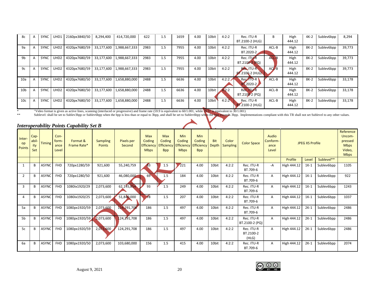| 8c              | <b>SYNC</b> | UHD1             | 2160px3840/50 | 8,294,400  | 414,720,000   | 622  | 1.5 | 1659 | 4.00 | 10bit | 4:2:2 | Rec. ITU-R<br>BT.2100-2 (HLG)        | В     | High<br>444.12 | $4K-2$ | Sublev6bpp | 8,294  |
|-----------------|-------------|------------------|---------------|------------|---------------|------|-----|------|------|-------|-------|--------------------------------------|-------|----------------|--------|------------|--------|
| 9a              | <b>SYNC</b> | UHD <sub>2</sub> | 4320px7680/59 | 33,177,600 | 1,988,667,333 | 2983 | 1.5 | 7955 | 4.00 | 10bit | 4:2:2 | Rec. ITU-R<br>BT.2020-2              | ACL-B | High<br>444.12 | 8K-2   | Sublev6bpp | 39,773 |
| 9b              | <b>SYNC</b> | UHD <sub>2</sub> | 4320px7680/59 | 33,177,600 | 1,988,667,333 | 2983 | 1.5 | 7955 | 4.00 | 10bit | 4:2:2 | Rec. ITU-R<br>BT.2100-2 (PQ)         | ACL-B | High<br>444.12 | $8K-2$ | Sublev6bpp | 39,773 |
| 9c              | <b>SYNC</b> | UHD <sub>2</sub> | 4320px7680/59 | 33,177,600 | 1,988,667,333 | 2983 | 1.5 | 7955 | 4.00 | 10bit | 4:2:2 | Rec. ITU-R<br><b>BT.2100-2 (HLG)</b> | ACL-B | High<br>444.12 | $8K-2$ | Sublev6bpp | 39,773 |
| 10a             | <b>SYNC</b> | UHD <sub>2</sub> | 4320px7680/50 | 33,177,600 | 1,658,880,000 | 2488 | 1.5 | 6636 | 4.00 | 10bit | 4:2:2 | Rec. ITU-R<br>BT.2020-2              | ACL-B | High<br>444.12 | $8K-2$ | Sublev6bpp | 33,178 |
| 10 <sub>b</sub> | <b>SYNC</b> | UHD <sub>2</sub> | 4320px7680/50 | 33,177,600 | 1,658,880,000 | 2488 | 1.5 | 6636 | 4.00 | 10bit | 4.2:2 | Rec. ITU-R<br>BT.2100-2 (PQ)         | ACL-B | High<br>444.12 | $8K-2$ | Sublev6bpp | 33,178 |
| 10 <sub>c</sub> | <b>SYNC</b> | UHD <sub>2</sub> | 4320px7680/50 | 33,177,600 | 1,658,880,000 | 2488 | 1.5 | 6636 | 4.00 | 10bit | 4:2:2 | Rec. ITU-R<br><b>BT.2100-2 (HLG)</b> | ACL-B | High<br>444.12 | $8K-2$ | Sublev6bpp | 33,178 |

<sup>\*</sup>  $\overline{X}$  "Video format is given as active lines, scanning (interlaced or progressive) and frame rate (59.9 is equivalent to 60/1.001, while 29.97 is equivalent to 30/1.001)  $\overline{X}$  Sublevel: shall be set to Sublevel

Sublevel: shall be set to Sublev3bpp or Sublev6bpp when the bpp is less than or equal to 3bpp, and shall be set to Sublev6bpp when the bpp exceeds 3bpp. Implementations compliant with this TR shall not set Sublevel to any

#### *Interoperability Points Capability Set B*

| Inter-<br>op<br><b>Points</b> | $Cap-$<br>abil-<br>ity<br>Set | <b>Timing</b> | Con-<br>form-<br>ance<br>Level | Format &<br>Frame Rate* | <b>Sampling</b><br>Points | Pixels per<br>Second | Max<br>Coding<br><b>Efficiency</b><br><b>Mbps</b> | Max<br>Coding<br><b>Efficiency</b><br><b>Bpp</b> | Min<br>Coding<br><b>Efficiency</b><br><b>Mbps</b> | Min<br>Coding<br><b>Efficiency</b><br><b>Bpp</b> | <b>Bit</b><br>Depth | Color<br><b>Sampling</b> | <b>Color Space</b>               | Audio<br>Conform-<br>ance<br>Level | <b>JPEG XS Profile</b> |        |            | Reference<br>Uncom-<br>pressed<br><b>Mbps</b><br>Video,<br><b>Mbps</b> |
|-------------------------------|-------------------------------|---------------|--------------------------------|-------------------------|---------------------------|----------------------|---------------------------------------------------|--------------------------------------------------|---------------------------------------------------|--------------------------------------------------|---------------------|--------------------------|----------------------------------|------------------------------------|------------------------|--------|------------|------------------------------------------------------------------------|
|                               |                               |               |                                |                         |                           |                      |                                                   |                                                  |                                                   |                                                  |                     |                          |                                  |                                    | Profile                | Level  | Sublevel** |                                                                        |
|                               | B                             | <b>ASYNC</b>  | <b>FHD</b>                     | 720px1280/59            | 921,600                   | 55,240,759           | 83                                                | 1.5                                              | 221                                               | 4.00                                             | 10bit               | 4:2:2                    | Rec. ITU-R<br>BT.709-6           | -A                                 | High 444.12            | $1K-1$ | Sublev6bpp | 1105                                                                   |
|                               | В                             | <b>ASYNC</b>  | <b>FHD</b>                     | 720px1280/50            | 921,600                   | 46,080,000           | 69                                                | 1.5                                              | 184                                               | 4.00                                             | 10bit               | 4:2:2                    | Rec. ITU-R<br>BT.709-6           | A                                  | High 444.12            | $1K-1$ | Sublev6bpp | 922                                                                    |
| 3                             | В                             | <b>ASYNC</b>  | <b>FHD</b>                     | 1080ix1920/29           | 2,073,600                 | 62,145,854           | 93                                                | 1.5                                              | 249                                               | 4.00                                             | 10bit               | 4:2:2                    | Rec. ITU-R<br>BT.709-6           | A                                  | High 444.12            | $1K-1$ | Sublev6bpp | 1243                                                                   |
| $\Delta$                      | B                             | <b>ASYNC</b>  | <b>FHD</b>                     | 1080ix1920/25           | 2,073,600                 | 51,840,000           | 78                                                | 1.5                                              | 207                                               | 4.00                                             | 10bit               | 4:2:2                    | Rec. ITU-R<br>BT.709-6           | A                                  | High 444.12            | $1K-1$ | Sublev6bpp | 1037                                                                   |
| 5a                            | В                             | <b>ASYNC</b>  | <b>FHD</b>                     | 1080px1920/59           | 2,073,600                 | 124,291,708          | 186                                               | 1.5                                              | 497                                               | 4.00                                             | 10bit               | 4:2:2                    | Rec. ITU-R<br>BT.709-6           | A                                  | High 444.12            | $2K-1$ | Sublev6bpp | 2486                                                                   |
| 5 <sub>b</sub>                | В                             | <b>ASYNC</b>  | <b>FHD</b>                     | 1080px1920/59           | 2,073,600                 | 124,291,708          | 186                                               | 1.5                                              | 497                                               | 4.00                                             | 10bit               | 4:2:2                    | Rec. ITU-R<br>BT.2100-2 (PQ)     | A                                  | High 444.12            | $2K-1$ | Sublev6bpp | 2486                                                                   |
| 5c                            | В                             | <b>ASYNC</b>  | <b>FHD</b>                     | 1080px1920/59           | 2,073,600                 | 124,291,708          | 186                                               | 1.5                                              | 497                                               | 4.00                                             | 10bit               | 4:2:2                    | Rec. ITU-R<br>BT.2100-2<br>(HLG) | A                                  | High 444.12            | $2K-1$ | Sublev6bpp | 2486                                                                   |
| 6a                            | В                             | <b>ASYNC</b>  | <b>FHD</b>                     | 1080px1920/50           | 2,073,600                 | 103,680,000          | 156                                               | 1.5                                              | 415                                               | 4.00                                             | 10bit               | 4:2:2                    | Rec. ITU-R<br>BT.709-6           | A                                  | High 444.12            | $2K-1$ | Sublev6bpp | 2074                                                                   |

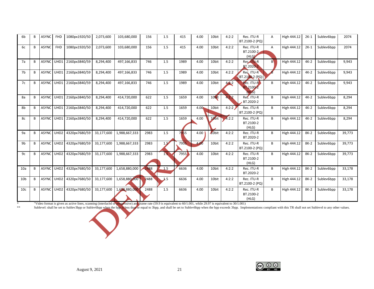| 6b              | B | <b>ASYNC</b> | <b>FHD</b> | 1080px1920/50 | 2,073,600  | 103,680,000   | 156  | 1.5    | 415  | 4.00 | 10bit | 4:2:2 | Rec. ITU-R<br>BT.2100-2 (PQ)     | Α | High 444.12 | $2K-1$ | Sublev6bpp | 2074   |
|-----------------|---|--------------|------------|---------------|------------|---------------|------|--------|------|------|-------|-------|----------------------------------|---|-------------|--------|------------|--------|
| 6c              | B | <b>ASYNC</b> | <b>FHD</b> | 1080px1920/50 | 2,073,600  | 103,680,000   | 156  | 1.5    | 415  | 4.00 | 10bit | 4:2:2 | Rec. ITU-R<br>BT.2100-2<br>(HLG) | A | High 444.12 | $2K-1$ | Sublev6bpp | 2074   |
| 7a              | B | ASYNC UHD1   |            | 2160px3840/59 | 8,294,400  | 497,166,833   | 746  | 1.5    | 1989 | 4.00 | 10bit | 4:2:2 | Rec. ITU-R<br>BT.2020-2          | B | High 444.12 | $4K-2$ | Sublev6bpp | 9,943  |
| 7b              | В | ASYNC UHD1   |            | 2160px3840/59 | 8,294,400  | 497,166,833   | 746  | 1.5    | 1989 | 4.00 | 10bit | 4:2:2 | Rec. ITU-R<br>BT.2100-2 (PQ)     |   | High 444.12 | $4K-2$ | Sublev6bpp | 9,943  |
| 7c              | B | ASYNC UHD1   |            | 2160px3840/59 | 8,294,400  | 497,166,833   | 746  | 1.5    | 1989 | 4.00 | 10bit | 4.2:2 | Rec. ITU-R<br>BT.2100-2<br>HLG   | B | High 444.12 | $4K-2$ | Sublev6bpp | 9,943  |
| 8a              | B | ASYNC UHD1   |            | 2160px3840/50 | 8,294,400  | 414,720,000   | 622  | 1.5    | 1659 | 4.00 | 10bit | 4:2:2 | Rec. ITU-R<br>BT.2020-2          | B | High 444.12 | $4K-2$ | Sublev6bpp | 8,294  |
| 8b              | В | ASYNC UHD1   |            | 2160px3840/50 | 8,294,400  | 414,720,000   | 622  | 1.5    | 1659 | 4.00 | 10bit | 4:2:2 | Rec. ITU-R<br>BT.2100-2 (PQ)     | B | High 444.12 | $4K-2$ | Sublev6bpp | 8,294  |
| 8c              | B | ASYNC UHD1   |            | 2160px3840/50 | 8,294,400  | 414,720,000   | 622  | 1.5    | 1659 | 4.00 | 10bit | 4:2:2 | Rec. ITU-R<br>BT.2100-2<br>(HLG) | B | High 444.12 | $4K-2$ | Sublev6bpp | 8,294  |
| 9a              | B | ASYNC UHD2   |            | 4320px7680/59 | 33,177,600 | 1,988,667,333 | 2983 | 1.5    | 7955 | 4.00 | 10bit | 4:2:2 | Rec. ITU-R<br>BT.2020-2          | B | High 444.12 | 8K-2   | Sublev6bpp | 39.773 |
| 9b              | В | ASYNC UHD2   |            | 4320px7680/59 | 33,177,600 | 1,988,667,333 | 2983 | 1.5    | 7955 | 4.00 | 10bit | 4:2:2 | Rec. ITU-R<br>BT.2100-2 (PQ)     | B | High 444.12 | 8K-2   | Sublev6bpp | 39,773 |
| 9c              | В | ASYNC UHD2   |            | 4320px7680/59 | 33,177,600 | 1,988,667,333 | 2983 | 1.5    | 7955 | 4.00 | 10bit | 4:2:2 | Rec. ITU-R<br>BT.2100-2<br>(HLG) | B | High 444.12 | 8K-2   | Sublev6bpp | 39,773 |
| 10a             | B | ASYNC UHD2   |            | 4320px7680/50 | 33,177,600 | 1,658,880,000 | 2488 | $-1.5$ | 6636 | 4.00 | 10bit | 4:2:2 | Rec. ITU-R<br>BT.2020-2          | В | High 444.12 | 8K-2   | Sublev6bpp | 33,178 |
| 10 <sub>b</sub> | B | ASYNC UHD2   |            | 4320px7680/50 | 33,177,600 | 1,658,880,000 | 2488 | .15    | 6636 | 4.00 | 10bit | 4:2:2 | Rec. ITU-R<br>BT.2100-2 (PQ)     | B | High 444.12 | 8K-2   | Sublev6bpp | 33,178 |
| 10 <sub>c</sub> | В | ASYNC UHD2   |            | 4320px7680/50 | 33,177,600 | 1,658,880,000 | 2488 | 1.5    | 6636 | 4.00 | 10bit | 4:2:2 | Rec. ITU-R<br>BT.2100-2<br>(HLG) | B | High 444.12 | 8K-2   | Sublev6bpp | 33,178 |

<sup>\*</sup> "Video format is given as active lines, scanning (interlaced or progressive) and frame rate (59.9 is equivalent to 60/1.001, while 29.97 is equivalent to 30/1.001)

\*\* Sublevel: shall be set to Sublev3bpp or Sublev6bpp when the bpp is less than or equal to 3bpp, and shall be set to Sublev6bpp when the bpp exceeds 3bpp. Implementations compliant with this TR shall not set Sublevel to a



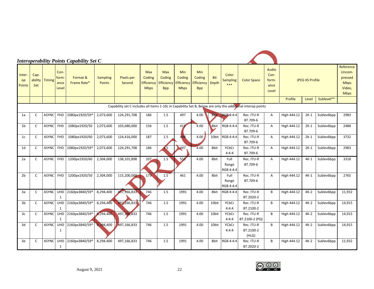|                               | <b>Interoperability Points Capability Set C</b>                                                             |              |                                |                         |                                  |                      |                                                          |                                                  |                                                   |                                                  |                     |                                   |                                  |                                         |                        |        |            |                                                                        |
|-------------------------------|-------------------------------------------------------------------------------------------------------------|--------------|--------------------------------|-------------------------|----------------------------------|----------------------|----------------------------------------------------------|--------------------------------------------------|---------------------------------------------------|--------------------------------------------------|---------------------|-----------------------------------|----------------------------------|-----------------------------------------|------------------------|--------|------------|------------------------------------------------------------------------|
| Inter-<br>op<br><b>Points</b> | Cap-<br>ability<br>Set                                                                                      | Timing       | Con-<br>form-<br>ance<br>Level | Format &<br>Frame Rate* | <b>Sampling</b><br><b>Points</b> | Pixels per<br>Second | <b>Max</b><br>Coding<br><b>Efficiency</b><br><b>Mbps</b> | <b>Max</b><br>Coding<br>Efficiency<br><b>Bpp</b> | Min<br>Coding<br><b>Efficiency</b><br><b>Mbps</b> | Min<br>Coding<br><b>Efficiency</b><br><b>Bpp</b> | <b>Bit</b><br>Depth | Color<br><b>Sampling</b><br>$***$ | <b>Color Space</b>               | Audio<br>Con-<br>form-<br>ance<br>Level | <b>JPEG XS Profile</b> |        |            | Reference<br>Uncom-<br>pressed<br><b>Mbps</b><br>Video,<br><b>Mbps</b> |
|                               |                                                                                                             |              |                                |                         |                                  |                      |                                                          |                                                  |                                                   |                                                  |                     |                                   |                                  |                                         | Profile                | Level  | Sublevel** |                                                                        |
|                               | Capability set C includes all items 1-10c in Capability Set B, Below are only the additional interop points |              |                                |                         |                                  |                      |                                                          |                                                  |                                                   |                                                  |                     |                                   |                                  |                                         |                        |        |            |                                                                        |
| 1a                            | C                                                                                                           | <b>ASYNC</b> | FHD                            | 1080px1920/59*          | 2,073,600                        | 124,291,708          | 186                                                      | 1.5                                              | 497                                               | 4.00                                             | 8bit                | RGB 4:4:4                         | Rec. ITU-R<br>BT.709-6           | A                                       | High 444.12            | $2K-1$ | Sublev6bpp | 2983                                                                   |
| 1 <sub>b</sub>                | $\mathsf{C}$                                                                                                | <b>ASYNC</b> | <b>FHD</b>                     | 1080px1920/50           | 2,073,600                        | 103,680,000          | 156                                                      | 1.5                                              | 415                                               | 4.00                                             | 8bit                | RGB 4:4:4                         | Rec. ITU-R<br>BT.709-6           | A                                       | High 444.12            | $2K-1$ | Sublev6bpp | 2488                                                                   |
| 1 <sub>c</sub>                | $\mathsf{C}$                                                                                                | <b>ASYNC</b> | <b>FHD</b>                     | 1080px1920/60           | 2,073,600                        | 124.416.000          | 187                                                      | 1.5                                              | 498                                               | 4.00                                             |                     | 10bit RGB 4:4:4                   | Rec. ITU-R<br>BT.709-6           | A                                       | High 444.12            | $2K-1$ | Sublev6bpp | 3732                                                                   |
| 1 <sub>d</sub>                | $\mathsf{C}$                                                                                                | <b>ASYNC</b> | <b>FHD</b>                     | 1080px1920/59*          | 2,073,600                        | 124,291,708          | 186                                                      | 4.5                                              | 497                                               | 4.00                                             | 8bit                | YCbCr<br>4:4:4                    | Rec. ITU-R<br>BT.709-6           | A                                       | High 444.12            | $2K-1$ | Sublev6bpp | 2983                                                                   |
| 2a                            | $\mathsf{C}$                                                                                                | <b>ASYNC</b> | <b>FHD</b>                     | 1200px1920/60           | 2,304,000                        | 138,101,898          | 207                                                      | 1.5                                              | 552                                               | 4.00                                             | 8bit                | Full<br>Range<br>RGB 4:4:4        | Rec. ITU-R<br>BT.709-6           | Α                                       | High 444.12            | $4K-1$ | Sublev6bpp | 3318                                                                   |
| 2 <sub>b</sub>                | $\mathsf{C}$                                                                                                | <b>ASYNC</b> | FHD                            | 1200px1920/50           | 2,304,000                        | 115,200,000          | 17 <sub>3</sub>                                          | 1.5                                              | 461                                               | 4.00                                             | 8bit                | Full<br>Range<br>RGB 4:4:4        | Rec. ITU-R<br>BT.709-6           | A                                       | High 444.12            | $4K-1$ | Sublev6bpp | 2765                                                                   |
| 3a                            | C                                                                                                           | <b>ASYNC</b> | <b>UHD</b><br>$\mathbf{1}$     | 2160px3840/59*          | 8,294,400                        | 497,166,833          | 746                                                      | 1.5                                              | 1991                                              | 4.00                                             | 8bit                | RGB 4:4:4                         | Rec. ITU-R<br>BT.2020-2          | B                                       | High 444.12            | $4K-2$ | Sublev6bpp | 11,932                                                                 |
| 3b                            | $\mathsf{C}$                                                                                                | <b>ASYNC</b> | UHD<br>1                       | 2160px3840/59*          | 8,294,400                        | 497,166,833          | 746                                                      | 1.5                                              | 1991                                              | 4.00                                             | 10bit               | YCbCr<br>4:4:4                    | Rec. ITU-R<br>BT.2100-2          | B                                       | High 444.12            | $4K-2$ | Sublev6bpp | 14,915                                                                 |
| 3c                            | $\mathsf{C}$                                                                                                | <b>ASYNC</b> | <b>UHD</b><br>1                | 2160px3840/59*          | 8,294,400                        | 497, 166, 833        | 746                                                      | 1.5                                              | 1991                                              | 4.00                                             | 10bit               | <b>YCbCr</b><br>4:4:4             | Rec. ITU-R<br>BT.2100-2 (PQ)     | B                                       | High 444.12            | $4K-2$ | Sublev6bpp | 14,915                                                                 |
| 3d                            | $\mathsf{C}$                                                                                                | <b>ASYNC</b> | <b>UHD</b><br>1                | 2160px3840/59*          | 8,294,400                        | 497,166,833          | 746                                                      | 1.5                                              | 1991                                              | 4.00                                             | 10bit               | <b>YCbCr</b><br>4:4:4             | Rec. ITU-R<br>BT.2100-2<br>(HLG) | В                                       | High 444.12            | $4K-2$ | Sublev6bpp | 14,915                                                                 |
| 3e                            | C                                                                                                           | <b>ASYNC</b> | <b>UHD</b><br>1                | 2160px3840/59*          | 8,294,400                        | 497,166,833          | 746                                                      | 1.5                                              | 1991                                              | 4.00                                             | 8bit                | RGB 4:4:4                         | Rec. ITU-R<br>BT.2020-2          | B                                       | High 444.12            | $4K-2$ | Sublev6bpp | 11,932                                                                 |



**CONTRACTOR**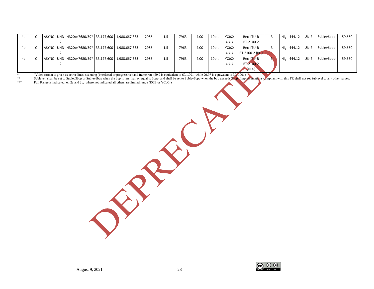| 4a |  | ASYNC UHD  4320px7680/59*   33,177,600   1,988,667,333   |  | 2986 | 1.5 | 7963 | 4.00 | 10bit | YCbCr | Rec. ITU-R     | B  | High 444.12 | $8K-2$ | Sublev6bpp | 59,660 |
|----|--|----------------------------------------------------------|--|------|-----|------|------|-------|-------|----------------|----|-------------|--------|------------|--------|
|    |  |                                                          |  |      |     |      |      |       | 4:4:4 | BT.2100-2      |    |             |        |            |        |
| 4b |  | ASYNC UHD 4320px7680/59* 33,177,600   1,988,667,333      |  | 2986 | 1.5 | 7963 | 4.00 | 10bit | YCbCr | Rec. ITU-R     | B  | High 444.12 | 8K-2   | Sublev6bpp | 59,660 |
|    |  |                                                          |  |      |     |      |      |       | 4:4:4 | BT.2100-2 (PQ) |    |             |        |            |        |
| 4c |  | ASYNC   UHD  4320px7680/59*   33,177,600   1,988,667,333 |  | 2986 | 1.5 | 7963 | 4.00 | 10bit | YCbCr | Rec. $ITU-R$   | B. | High 444.12 | 8K-2   | Sublev6bpp | 59,660 |
|    |  |                                                          |  |      |     |      |      |       | 4:4:4 | BT:2100-2      |    |             |        |            |        |
|    |  |                                                          |  |      |     |      |      |       |       | HLG)           |    |             |        |            |        |

<sup>\*</sup> "Video format is given as active lines, scanning (interlaced or progressive) and frame rate (59.9 is equivalent to 60/1.001, while 29.97 is equivalent to 30/1.001)<br><sup>\*</sup> Sublevel: shall be set to Subley3bon or Subley6bon

Sublevel: shall be set to Sublev3bpp or Sublev6bpp when the bpp is less than or equal to 3bpp, and shall be set to Sublev6bpp when the bpp exceeds 3bpp. Implementations compliant with this TR shall not set Sublevel to any Full Range is indicated, on 2a and 2b, where not indicated all others are limited range (RGB or YCbCr)